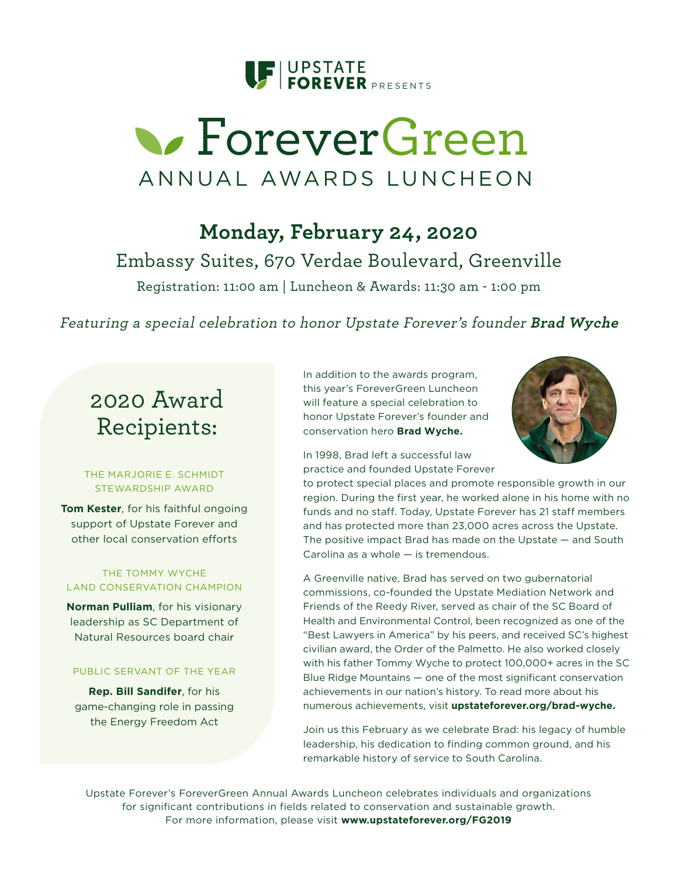

# **S** ForeverGreen ANNUAL AWARDS LUNCHEON

**Monday, February 24, 2020**  Embassy Suites, 670 Verdae Boulevard, Greenville

Registration: 11:00 am | Luncheon & Awards: 11:30 am - 1:00 pm

Featuring a special celebration to honor Upstate Forever's founder **Brad Wyche**

# 2020 Award Recipients:

#### THE MARJORIE E. SCHMIDT STEWARDSHIP AWARD

**Tom Kester**, for his faithful ongoing support of Upstate Forever and other local conservation efforts

#### THE TOMMY WYCHE LAND CONSERVATION CHAMPION

**Norman Pulliam**, for his visionary leadership as SC Department of Natural Resources board chair

#### PUBLIC SERVANT OF THE YEAR

**Rep. Bill Sandifer**, for his game-changing role in passing the Energy Freedom Act

In addition to the awards program, this year's ForeverGreen Luncheon will feature a special celebration to honor Upstate Forever's founder and conservation hero **Brad Wyche.**



In 1998, Brad left a successful law practice and founded Upstate Forever

to protect special places and promote responsible growth in our region. During the first year, he worked alone in his home with no funds and no staff. Today, Upstate Forever has 21 staff members and has protected more than 23,000 acres across the Upstate. The positive impact Brad has made on the Upstate — and South Carolina as a whole — is tremendous.

A Greenville native, Brad has served on two gubernatorial commissions, co-founded the Upstate Mediation Network and Friends of the Reedy River, served as chair of the SC Board of Health and Environmental Control, been recognized as one of the "Best Lawyers in America" by his peers, and received SC's highest civilian award, the Order of the Palmetto. He also worked closely with his father Tommy Wyche to protect 100,000+ acres in the SC Blue Ridge Mountains — one of the most significant conservation achievements in our nation's history. To read more about his numerous achievements, visit **upstateforever.org/brad-wyche.**

Join us this February as we celebrate Brad: his legacy of humble leadership, his dedication to finding common ground, and his remarkable history of service to South Carolina.

Upstate Forever's ForeverGreen Annual Awards Luncheon celebrates individuals and organizations for significant contributions in fields related to conservation and sustainable growth. For more information, please visit **www.upstateforever.org/FG2019**